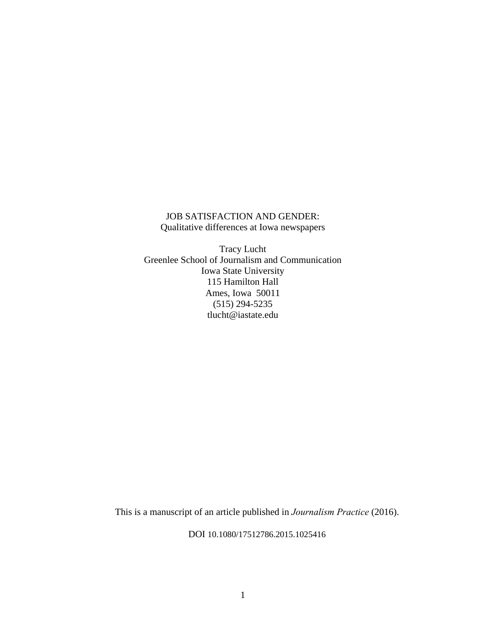JOB SATISFACTION AND GENDER: Qualitative differences at Iowa newspapers

Tracy Lucht Greenlee School of Journalism and Communication Iowa State University 115 Hamilton Hall Ames, Iowa 50011 (515) 294-5235 tlucht@iastate.edu

This is a manuscript of an article published in *Journalism Practice* (2016).

DOI 10.1080/17512786.2015.1025416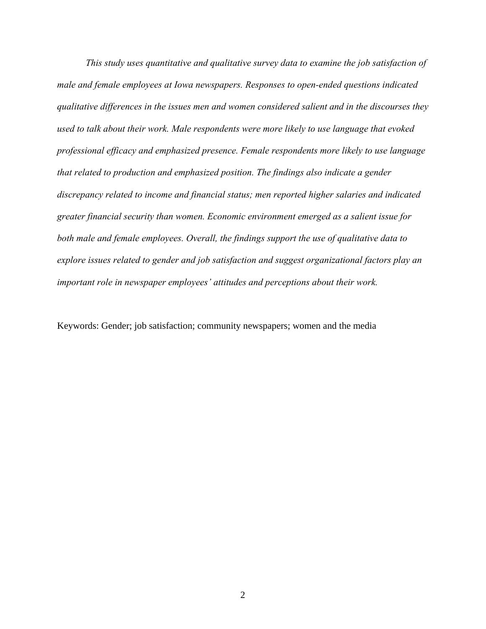*This study uses quantitative and qualitative survey data to examine the job satisfaction of male and female employees at Iowa newspapers. Responses to open-ended questions indicated qualitative differences in the issues men and women considered salient and in the discourses they used to talk about their work. Male respondents were more likely to use language that evoked professional efficacy and emphasized presence. Female respondents more likely to use language that related to production and emphasized position. The findings also indicate a gender discrepancy related to income and financial status; men reported higher salaries and indicated greater financial security than women. Economic environment emerged as a salient issue for both male and female employees. Overall, the findings support the use of qualitative data to explore issues related to gender and job satisfaction and suggest organizational factors play an important role in newspaper employees' attitudes and perceptions about their work.* 

Keywords: Gender; job satisfaction; community newspapers; women and the media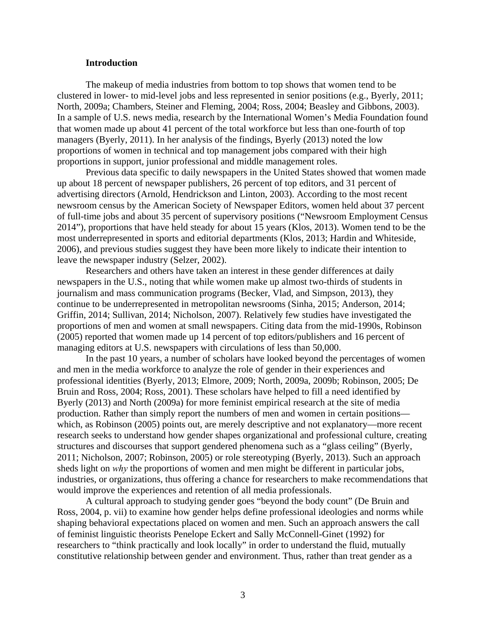# **Introduction**

The makeup of media industries from bottom to top shows that women tend to be clustered in lower- to mid-level jobs and less represented in senior positions (e.g., Byerly, 2011; North, 2009a; Chambers, Steiner and Fleming, 2004; Ross, 2004; Beasley and Gibbons, 2003). In a sample of U.S. news media, research by the International Women's Media Foundation found that women made up about 41 percent of the total workforce but less than one-fourth of top managers (Byerly, 2011). In her analysis of the findings, Byerly (2013) noted the low proportions of women in technical and top management jobs compared with their high proportions in support, junior professional and middle management roles.

Previous data specific to daily newspapers in the United States showed that women made up about 18 percent of newspaper publishers, 26 percent of top editors, and 31 percent of advertising directors (Arnold, Hendrickson and Linton, 2003). According to the most recent newsroom census by the American Society of Newspaper Editors, women held about 37 percent of full-time jobs and about 35 percent of supervisory positions ("Newsroom Employment Census 2014"), proportions that have held steady for about 15 years (Klos, 2013). Women tend to be the most underrepresented in sports and editorial departments (Klos, 2013; Hardin and Whiteside, 2006), and previous studies suggest they have been more likely to indicate their intention to leave the newspaper industry (Selzer, 2002).

Researchers and others have taken an interest in these gender differences at daily newspapers in the U.S., noting that while women make up almost two-thirds of students in journalism and mass communication programs (Becker, Vlad, and Simpson, 2013), they continue to be underrepresented in metropolitan newsrooms (Sinha, 2015; Anderson, 2014; Griffin, 2014; Sullivan, 2014; Nicholson, 2007). Relatively few studies have investigated the proportions of men and women at small newspapers. Citing data from the mid-1990s, Robinson (2005) reported that women made up 14 percent of top editors/publishers and 16 percent of managing editors at U.S. newspapers with circulations of less than 50,000.

In the past 10 years, a number of scholars have looked beyond the percentages of women and men in the media workforce to analyze the role of gender in their experiences and professional identities (Byerly, 2013; Elmore, 2009; North, 2009a, 2009b; Robinson, 2005; De Bruin and Ross, 2004; Ross, 2001). These scholars have helped to fill a need identified by Byerly (2013) and North (2009a) for more feminist empirical research at the site of media production. Rather than simply report the numbers of men and women in certain positions which, as Robinson (2005) points out, are merely descriptive and not explanatory—more recent research seeks to understand how gender shapes organizational and professional culture, creating structures and discourses that support gendered phenomena such as a "glass ceiling" (Byerly, 2011; Nicholson, 2007; Robinson, 2005) or role stereotyping (Byerly, 2013). Such an approach sheds light on *why* the proportions of women and men might be different in particular jobs, industries, or organizations, thus offering a chance for researchers to make recommendations that would improve the experiences and retention of all media professionals.

A cultural approach to studying gender goes "beyond the body count" (De Bruin and Ross, 2004, p. vii) to examine how gender helps define professional ideologies and norms while shaping behavioral expectations placed on women and men. Such an approach answers the call of feminist linguistic theorists Penelope Eckert and Sally McConnell-Ginet (1992) for researchers to "think practically and look locally" in order to understand the fluid, mutually constitutive relationship between gender and environment. Thus, rather than treat gender as a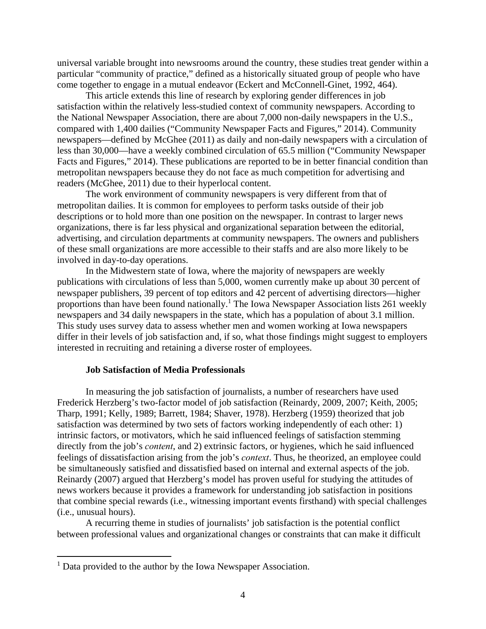universal variable brought into newsrooms around the country, these studies treat gender within a particular "community of practice," defined as a historically situated group of people who have come together to engage in a mutual endeavor (Eckert and McConnell-Ginet, 1992, 464).

This article extends this line of research by exploring gender differences in job satisfaction within the relatively less-studied context of community newspapers. According to the National Newspaper Association, there are about 7,000 non-daily newspapers in the U.S., compared with 1,400 dailies ("Community Newspaper Facts and Figures," 2014). Community newspapers—defined by McGhee (2011) as daily and non-daily newspapers with a circulation of less than 30,000—have a weekly combined circulation of 65.5 million ("Community Newspaper Facts and Figures," 2014). These publications are reported to be in better financial condition than metropolitan newspapers because they do not face as much competition for advertising and readers (McGhee, 2011) due to their hyperlocal content.

The work environment of community newspapers is very different from that of metropolitan dailies. It is common for employees to perform tasks outside of their job descriptions or to hold more than one position on the newspaper. In contrast to larger news organizations, there is far less physical and organizational separation between the editorial, advertising, and circulation departments at community newspapers. The owners and publishers of these small organizations are more accessible to their staffs and are also more likely to be involved in day-to-day operations.

In the Midwestern state of Iowa, where the majority of newspapers are weekly publications with circulations of less than 5,000, women currently make up about 30 percent of newspaper publishers, 39 percent of top editors and 42 percent of advertising directors—higher proportions than have been found nationally.<sup>1</sup> The Iowa Newspaper Association lists 261 weekly newspapers and 34 daily newspapers in the state, which has a population of about 3.1 million. This study uses survey data to assess whether men and women working at Iowa newspapers differ in their levels of job satisfaction and, if so, what those findings might suggest to employers interested in recruiting and retaining a diverse roster of employees.

# **Job Satisfaction of Media Professionals**

In measuring the job satisfaction of journalists, a number of researchers have used Frederick Herzberg's two-factor model of job satisfaction (Reinardy, 2009, 2007; Keith, 2005; Tharp, 1991; Kelly, 1989; Barrett, 1984; Shaver, 1978). Herzberg (1959) theorized that job satisfaction was determined by two sets of factors working independently of each other: 1) intrinsic factors, or motivators, which he said influenced feelings of satisfaction stemming directly from the job's *content*, and 2) extrinsic factors, or hygienes, which he said influenced feelings of dissatisfaction arising from the job's *context*. Thus, he theorized, an employee could be simultaneously satisfied and dissatisfied based on internal and external aspects of the job. Reinardy (2007) argued that Herzberg's model has proven useful for studying the attitudes of news workers because it provides a framework for understanding job satisfaction in positions that combine special rewards (i.e., witnessing important events firsthand) with special challenges (i.e., unusual hours).

A recurring theme in studies of journalists' job satisfaction is the potential conflict between professional values and organizational changes or constraints that can make it difficult

 $\overline{a}$ 

<sup>&</sup>lt;sup>1</sup> Data provided to the author by the Iowa Newspaper Association.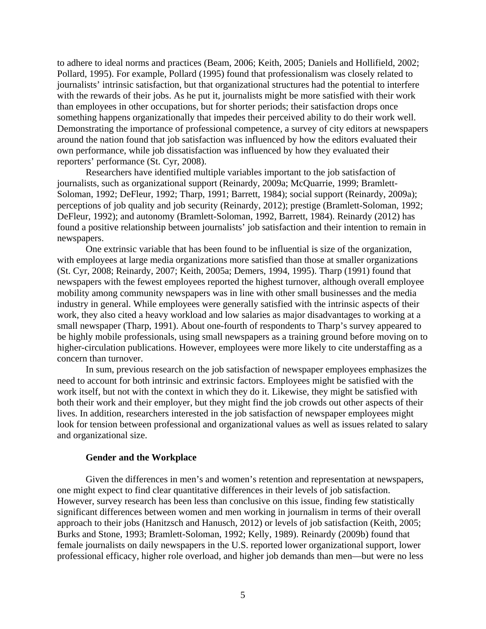to adhere to ideal norms and practices (Beam, 2006; Keith, 2005; Daniels and Hollifield, 2002; Pollard, 1995). For example, Pollard (1995) found that professionalism was closely related to journalists' intrinsic satisfaction, but that organizational structures had the potential to interfere with the rewards of their jobs. As he put it, journalists might be more satisfied with their work than employees in other occupations, but for shorter periods; their satisfaction drops once something happens organizationally that impedes their perceived ability to do their work well. Demonstrating the importance of professional competence, a survey of city editors at newspapers around the nation found that job satisfaction was influenced by how the editors evaluated their own performance, while job dissatisfaction was influenced by how they evaluated their reporters' performance (St. Cyr, 2008).

Researchers have identified multiple variables important to the job satisfaction of journalists, such as organizational support (Reinardy, 2009a; McQuarrie, 1999; Bramlett-Soloman, 1992; DeFleur, 1992; Tharp, 1991; Barrett, 1984); social support (Reinardy, 2009a); perceptions of job quality and job security (Reinardy, 2012); prestige (Bramlett-Soloman, 1992; DeFleur, 1992); and autonomy (Bramlett-Soloman, 1992, Barrett, 1984). Reinardy (2012) has found a positive relationship between journalists' job satisfaction and their intention to remain in newspapers.

One extrinsic variable that has been found to be influential is size of the organization, with employees at large media organizations more satisfied than those at smaller organizations (St. Cyr, 2008; Reinardy, 2007; Keith, 2005a; Demers, 1994, 1995). Tharp (1991) found that newspapers with the fewest employees reported the highest turnover, although overall employee mobility among community newspapers was in line with other small businesses and the media industry in general. While employees were generally satisfied with the intrinsic aspects of their work, they also cited a heavy workload and low salaries as major disadvantages to working at a small newspaper (Tharp, 1991). About one-fourth of respondents to Tharp's survey appeared to be highly mobile professionals, using small newspapers as a training ground before moving on to higher-circulation publications. However, employees were more likely to cite understaffing as a concern than turnover.

In sum, previous research on the job satisfaction of newspaper employees emphasizes the need to account for both intrinsic and extrinsic factors. Employees might be satisfied with the work itself, but not with the context in which they do it. Likewise, they might be satisfied with both their work and their employer, but they might find the job crowds out other aspects of their lives. In addition, researchers interested in the job satisfaction of newspaper employees might look for tension between professional and organizational values as well as issues related to salary and organizational size.

# **Gender and the Workplace**

Given the differences in men's and women's retention and representation at newspapers, one might expect to find clear quantitative differences in their levels of job satisfaction. However, survey research has been less than conclusive on this issue, finding few statistically significant differences between women and men working in journalism in terms of their overall approach to their jobs (Hanitzsch and Hanusch, 2012) or levels of job satisfaction (Keith, 2005; Burks and Stone, 1993; Bramlett-Soloman, 1992; Kelly, 1989). Reinardy (2009b) found that female journalists on daily newspapers in the U.S. reported lower organizational support, lower professional efficacy, higher role overload, and higher job demands than men—but were no less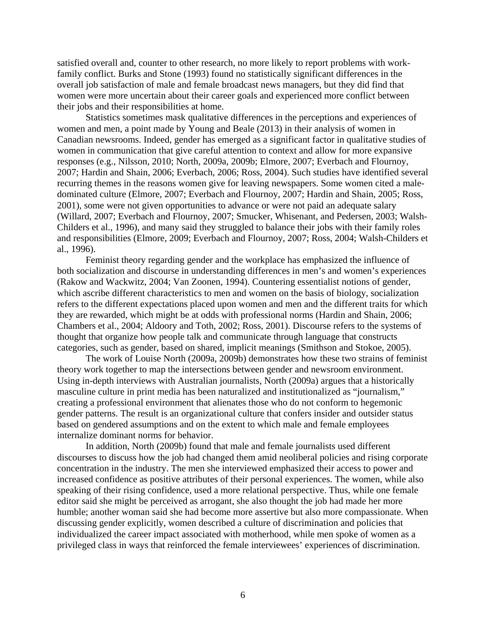satisfied overall and, counter to other research, no more likely to report problems with workfamily conflict. Burks and Stone (1993) found no statistically significant differences in the overall job satisfaction of male and female broadcast news managers, but they did find that women were more uncertain about their career goals and experienced more conflict between their jobs and their responsibilities at home.

Statistics sometimes mask qualitative differences in the perceptions and experiences of women and men, a point made by Young and Beale (2013) in their analysis of women in Canadian newsrooms. Indeed, gender has emerged as a significant factor in qualitative studies of women in communication that give careful attention to context and allow for more expansive responses (e.g., Nilsson, 2010; North, 2009a, 2009b; Elmore, 2007; Everbach and Flournoy, 2007; Hardin and Shain, 2006; Everbach, 2006; Ross, 2004). Such studies have identified several recurring themes in the reasons women give for leaving newspapers. Some women cited a maledominated culture (Elmore, 2007; Everbach and Flournoy, 2007; Hardin and Shain, 2005; Ross, 2001), some were not given opportunities to advance or were not paid an adequate salary (Willard, 2007; Everbach and Flournoy, 2007; Smucker, Whisenant, and Pedersen, 2003; Walsh-Childers et al., 1996), and many said they struggled to balance their jobs with their family roles and responsibilities (Elmore, 2009; Everbach and Flournoy, 2007; Ross, 2004; Walsh-Childers et al., 1996).

Feminist theory regarding gender and the workplace has emphasized the influence of both socialization and discourse in understanding differences in men's and women's experiences (Rakow and Wackwitz, 2004; Van Zoonen, 1994). Countering essentialist notions of gender, which ascribe different characteristics to men and women on the basis of biology, socialization refers to the different expectations placed upon women and men and the different traits for which they are rewarded, which might be at odds with professional norms (Hardin and Shain, 2006; Chambers et al., 2004; Aldoory and Toth, 2002; Ross, 2001). Discourse refers to the systems of thought that organize how people talk and communicate through language that constructs categories, such as gender, based on shared, implicit meanings (Smithson and Stokoe, 2005).

The work of Louise North (2009a, 2009b) demonstrates how these two strains of feminist theory work together to map the intersections between gender and newsroom environment. Using in-depth interviews with Australian journalists, North (2009a) argues that a historically masculine culture in print media has been naturalized and institutionalized as "journalism," creating a professional environment that alienates those who do not conform to hegemonic gender patterns. The result is an organizational culture that confers insider and outsider status based on gendered assumptions and on the extent to which male and female employees internalize dominant norms for behavior.

In addition, North (2009b) found that male and female journalists used different discourses to discuss how the job had changed them amid neoliberal policies and rising corporate concentration in the industry. The men she interviewed emphasized their access to power and increased confidence as positive attributes of their personal experiences. The women, while also speaking of their rising confidence, used a more relational perspective. Thus, while one female editor said she might be perceived as arrogant, she also thought the job had made her more humble; another woman said she had become more assertive but also more compassionate. When discussing gender explicitly, women described a culture of discrimination and policies that individualized the career impact associated with motherhood, while men spoke of women as a privileged class in ways that reinforced the female interviewees' experiences of discrimination.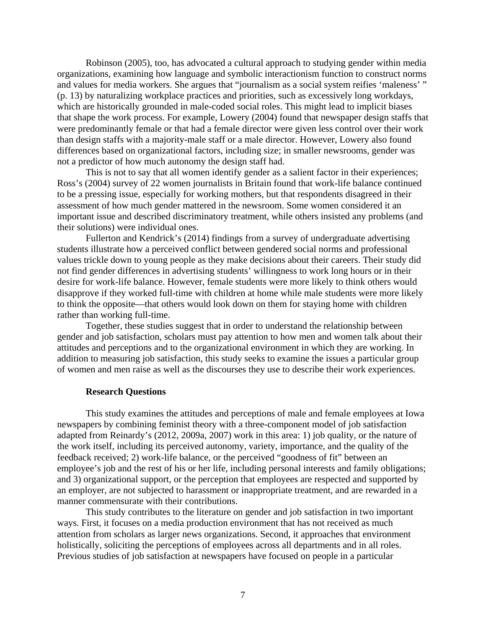Robinson (2005), too, has advocated a cultural approach to studying gender within media organizations, examining how language and symbolic interactionism function to construct norms and values for media workers. She argues that "journalism as a social system reifies 'maleness' " (p. 13) by naturalizing workplace practices and priorities, such as excessively long workdays, which are historically grounded in male-coded social roles. This might lead to implicit biases that shape the work process. For example, Lowery (2004) found that newspaper design staffs that were predominantly female or that had a female director were given less control over their work than design staffs with a majority-male staff or a male director. However, Lowery also found differences based on organizational factors, including size; in smaller newsrooms, gender was not a predictor of how much autonomy the design staff had.

This is not to say that all women identify gender as a salient factor in their experiences; Ross's (2004) survey of 22 women journalists in Britain found that work-life balance continued to be a pressing issue, especially for working mothers, but that respondents disagreed in their assessment of how much gender mattered in the newsroom. Some women considered it an important issue and described discriminatory treatment, while others insisted any problems (and their solutions) were individual ones.

Fullerton and Kendrick's (2014) findings from a survey of undergraduate advertising students illustrate how a perceived conflict between gendered social norms and professional values trickle down to young people as they make decisions about their careers. Their study did not find gender differences in advertising students' willingness to work long hours or in their desire for work-life balance. However, female students were more likely to think others would disapprove if they worked full-time with children at home while male students were more likely to think the opposite—that others would look down on them for staying home with children rather than working full-time.

Together, these studies suggest that in order to understand the relationship between gender and job satisfaction, scholars must pay attention to how men and women talk about their attitudes and perceptions and to the organizational environment in which they are working. In addition to measuring job satisfaction, this study seeks to examine the issues a particular group of women and men raise as well as the discourses they use to describe their work experiences.

### **Research Questions**

This study examines the attitudes and perceptions of male and female employees at Iowa newspapers by combining feminist theory with a three-component model of job satisfaction adapted from Reinardy's (2012, 2009a, 2007) work in this area: 1) job quality, or the nature of the work itself, including its perceived autonomy, variety, importance, and the quality of the feedback received; 2) work-life balance, or the perceived "goodness of fit" between an employee's job and the rest of his or her life, including personal interests and family obligations; and 3) organizational support, or the perception that employees are respected and supported by an employer, are not subjected to harassment or inappropriate treatment, and are rewarded in a manner commensurate with their contributions.

This study contributes to the literature on gender and job satisfaction in two important ways. First, it focuses on a media production environment that has not received as much attention from scholars as larger news organizations. Second, it approaches that environment holistically, soliciting the perceptions of employees across all departments and in all roles. Previous studies of job satisfaction at newspapers have focused on people in a particular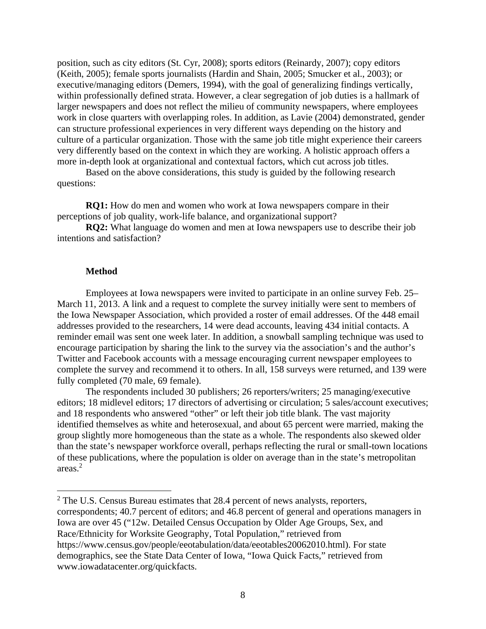position, such as city editors (St. Cyr, 2008); sports editors (Reinardy, 2007); copy editors (Keith, 2005); female sports journalists (Hardin and Shain, 2005; Smucker et al., 2003); or executive/managing editors (Demers, 1994), with the goal of generalizing findings vertically, within professionally defined strata. However, a clear segregation of job duties is a hallmark of larger newspapers and does not reflect the milieu of community newspapers, where employees work in close quarters with overlapping roles. In addition, as Lavie (2004) demonstrated, gender can structure professional experiences in very different ways depending on the history and culture of a particular organization. Those with the same job title might experience their careers very differently based on the context in which they are working. A holistic approach offers a more in-depth look at organizational and contextual factors, which cut across job titles.

Based on the above considerations, this study is guided by the following research questions:

**RQ1:** How do men and women who work at Iowa newspapers compare in their perceptions of job quality, work-life balance, and organizational support?

**RQ2:** What language do women and men at Iowa newspapers use to describe their job intentions and satisfaction?

### **Method**

 $\overline{a}$ 

Employees at Iowa newspapers were invited to participate in an online survey Feb. 25– March 11, 2013. A link and a request to complete the survey initially were sent to members of the Iowa Newspaper Association, which provided a roster of email addresses. Of the 448 email addresses provided to the researchers, 14 were dead accounts, leaving 434 initial contacts. A reminder email was sent one week later. In addition, a snowball sampling technique was used to encourage participation by sharing the link to the survey via the association's and the author's Twitter and Facebook accounts with a message encouraging current newspaper employees to complete the survey and recommend it to others. In all, 158 surveys were returned, and 139 were fully completed (70 male, 69 female).

The respondents included 30 publishers; 26 reporters/writers; 25 managing/executive editors; 18 midlevel editors; 17 directors of advertising or circulation; 5 sales/account executives; and 18 respondents who answered "other" or left their job title blank. The vast majority identified themselves as white and heterosexual, and about 65 percent were married, making the group slightly more homogeneous than the state as a whole. The respondents also skewed older than the state's newspaper workforce overall, perhaps reflecting the rural or small-town locations of these publications, where the population is older on average than in the state's metropolitan areas.2

 $2$  The U.S. Census Bureau estimates that 28.4 percent of news analysts, reporters, correspondents; 40.7 percent of editors; and 46.8 percent of general and operations managers in Iowa are over 45 ("12w. Detailed Census Occupation by Older Age Groups, Sex, and Race/Ethnicity for Worksite Geography, Total Population," retrieved from https://www.census.gov/people/eeotabulation/data/eeotables20062010.html). For state demographics, see the State Data Center of Iowa, "Iowa Quick Facts," retrieved from www.iowadatacenter.org/quickfacts.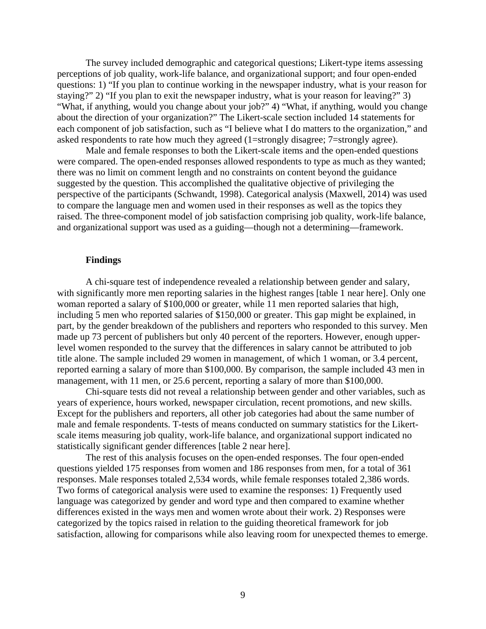The survey included demographic and categorical questions; Likert-type items assessing perceptions of job quality, work-life balance, and organizational support; and four open-ended questions: 1) "If you plan to continue working in the newspaper industry, what is your reason for staying?" 2) "If you plan to exit the newspaper industry, what is your reason for leaving?" 3) "What, if anything, would you change about your job?" 4) "What, if anything, would you change about the direction of your organization?" The Likert-scale section included 14 statements for each component of job satisfaction, such as "I believe what I do matters to the organization," and asked respondents to rate how much they agreed (1=strongly disagree; 7=strongly agree).

Male and female responses to both the Likert-scale items and the open-ended questions were compared. The open-ended responses allowed respondents to type as much as they wanted; there was no limit on comment length and no constraints on content beyond the guidance suggested by the question. This accomplished the qualitative objective of privileging the perspective of the participants (Schwandt, 1998). Categorical analysis (Maxwell, 2014) was used to compare the language men and women used in their responses as well as the topics they raised. The three-component model of job satisfaction comprising job quality, work-life balance, and organizational support was used as a guiding—though not a determining—framework.

#### **Findings**

A chi-square test of independence revealed a relationship between gender and salary, with significantly more men reporting salaries in the highest ranges [table 1 near here]. Only one woman reported a salary of \$100,000 or greater, while 11 men reported salaries that high, including 5 men who reported salaries of \$150,000 or greater. This gap might be explained, in part, by the gender breakdown of the publishers and reporters who responded to this survey. Men made up 73 percent of publishers but only 40 percent of the reporters. However, enough upperlevel women responded to the survey that the differences in salary cannot be attributed to job title alone. The sample included 29 women in management, of which 1 woman, or 3.4 percent, reported earning a salary of more than \$100,000. By comparison, the sample included 43 men in management, with 11 men, or 25.6 percent, reporting a salary of more than \$100,000.

Chi-square tests did not reveal a relationship between gender and other variables, such as years of experience, hours worked, newspaper circulation, recent promotions, and new skills. Except for the publishers and reporters, all other job categories had about the same number of male and female respondents. T-tests of means conducted on summary statistics for the Likertscale items measuring job quality, work-life balance, and organizational support indicated no statistically significant gender differences [table 2 near here].

The rest of this analysis focuses on the open-ended responses. The four open-ended questions yielded 175 responses from women and 186 responses from men, for a total of 361 responses. Male responses totaled 2,534 words, while female responses totaled 2,386 words. Two forms of categorical analysis were used to examine the responses: 1) Frequently used language was categorized by gender and word type and then compared to examine whether differences existed in the ways men and women wrote about their work. 2) Responses were categorized by the topics raised in relation to the guiding theoretical framework for job satisfaction, allowing for comparisons while also leaving room for unexpected themes to emerge.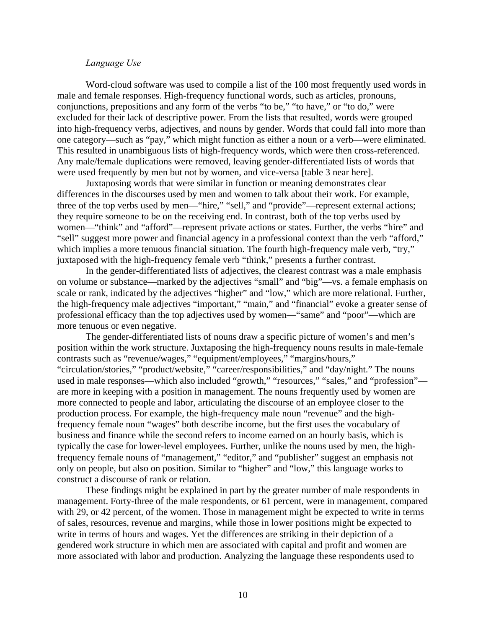### *Language Use*

Word-cloud software was used to compile a list of the 100 most frequently used words in male and female responses. High-frequency functional words, such as articles, pronouns, conjunctions, prepositions and any form of the verbs "to be," "to have," or "to do," were excluded for their lack of descriptive power. From the lists that resulted, words were grouped into high-frequency verbs, adjectives, and nouns by gender. Words that could fall into more than one category—such as "pay," which might function as either a noun or a verb—were eliminated. This resulted in unambiguous lists of high-frequency words, which were then cross-referenced. Any male/female duplications were removed, leaving gender-differentiated lists of words that were used frequently by men but not by women, and vice-versa [table 3 near here].

Juxtaposing words that were similar in function or meaning demonstrates clear differences in the discourses used by men and women to talk about their work. For example, three of the top verbs used by men—"hire," "sell," and "provide"—represent external actions; they require someone to be on the receiving end. In contrast, both of the top verbs used by women—"think" and "afford"—represent private actions or states. Further, the verbs "hire" and "sell" suggest more power and financial agency in a professional context than the verb "afford," which implies a more tenuous financial situation. The fourth high-frequency male verb, "try," juxtaposed with the high-frequency female verb "think," presents a further contrast.

In the gender-differentiated lists of adjectives, the clearest contrast was a male emphasis on volume or substance—marked by the adjectives "small" and "big"—vs. a female emphasis on scale or rank, indicated by the adjectives "higher" and "low," which are more relational. Further, the high-frequency male adjectives "important," "main," and "financial" evoke a greater sense of professional efficacy than the top adjectives used by women—"same" and "poor"—which are more tenuous or even negative.

The gender-differentiated lists of nouns draw a specific picture of women's and men's position within the work structure. Juxtaposing the high-frequency nouns results in male-female contrasts such as "revenue/wages," "equipment/employees," "margins/hours," "circulation/stories," "product/website," "career/responsibilities," and "day/night." The nouns used in male responses—which also included "growth," "resources," "sales," and "profession" are more in keeping with a position in management. The nouns frequently used by women are more connected to people and labor, articulating the discourse of an employee closer to the production process. For example, the high-frequency male noun "revenue" and the highfrequency female noun "wages" both describe income, but the first uses the vocabulary of business and finance while the second refers to income earned on an hourly basis, which is typically the case for lower-level employees. Further, unlike the nouns used by men, the highfrequency female nouns of "management," "editor," and "publisher" suggest an emphasis not only on people, but also on position. Similar to "higher" and "low," this language works to construct a discourse of rank or relation.

These findings might be explained in part by the greater number of male respondents in management. Forty-three of the male respondents, or 61 percent, were in management, compared with 29, or 42 percent, of the women. Those in management might be expected to write in terms of sales, resources, revenue and margins, while those in lower positions might be expected to write in terms of hours and wages. Yet the differences are striking in their depiction of a gendered work structure in which men are associated with capital and profit and women are more associated with labor and production. Analyzing the language these respondents used to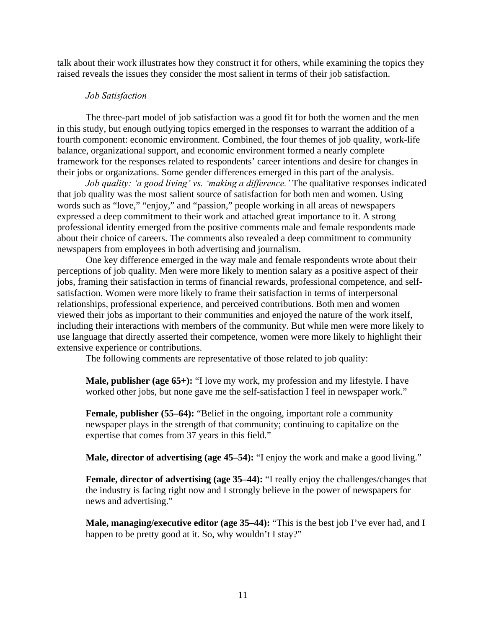talk about their work illustrates how they construct it for others, while examining the topics they raised reveals the issues they consider the most salient in terms of their job satisfaction.

# *Job Satisfaction*

The three-part model of job satisfaction was a good fit for both the women and the men in this study, but enough outlying topics emerged in the responses to warrant the addition of a fourth component: economic environment. Combined, the four themes of job quality, work-life balance, organizational support, and economic environment formed a nearly complete framework for the responses related to respondents' career intentions and desire for changes in their jobs or organizations. Some gender differences emerged in this part of the analysis.

*Job quality: 'a good living' vs. 'making a difference.'* The qualitative responses indicated that job quality was the most salient source of satisfaction for both men and women. Using words such as "love," "enjoy," and "passion," people working in all areas of newspapers expressed a deep commitment to their work and attached great importance to it. A strong professional identity emerged from the positive comments male and female respondents made about their choice of careers. The comments also revealed a deep commitment to community newspapers from employees in both advertising and journalism.

One key difference emerged in the way male and female respondents wrote about their perceptions of job quality. Men were more likely to mention salary as a positive aspect of their jobs, framing their satisfaction in terms of financial rewards, professional competence, and selfsatisfaction. Women were more likely to frame their satisfaction in terms of interpersonal relationships, professional experience, and perceived contributions. Both men and women viewed their jobs as important to their communities and enjoyed the nature of the work itself, including their interactions with members of the community. But while men were more likely to use language that directly asserted their competence, women were more likely to highlight their extensive experience or contributions.

The following comments are representative of those related to job quality:

**Male, publisher (age 65+):** "I love my work, my profession and my lifestyle. I have worked other jobs, but none gave me the self-satisfaction I feel in newspaper work."

**Female, publisher (55–64):** "Belief in the ongoing, important role a community newspaper plays in the strength of that community; continuing to capitalize on the expertise that comes from 37 years in this field."

**Male, director of advertising (age 45–54):** "I enjoy the work and make a good living."

**Female, director of advertising (age 35–44):** "I really enjoy the challenges/changes that the industry is facing right now and I strongly believe in the power of newspapers for news and advertising."

**Male, managing/executive editor (age 35–44):** "This is the best job I've ever had, and I happen to be pretty good at it. So, why wouldn't I stay?"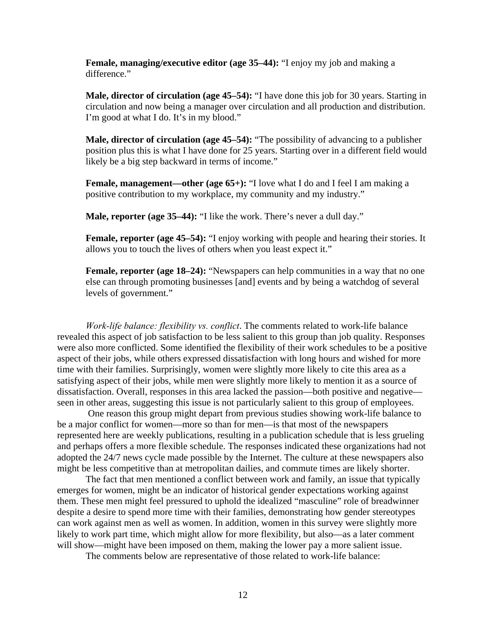**Female, managing/executive editor (age 35–44):** "I enjoy my job and making a difference."

**Male, director of circulation (age 45–54):** "I have done this job for 30 years. Starting in circulation and now being a manager over circulation and all production and distribution. I'm good at what I do. It's in my blood."

**Male, director of circulation (age 45–54):** "The possibility of advancing to a publisher position plus this is what I have done for 25 years. Starting over in a different field would likely be a big step backward in terms of income."

**Female, management—other (age 65+):** "I love what I do and I feel I am making a positive contribution to my workplace, my community and my industry."

**Male, reporter (age 35–44):** "I like the work. There's never a dull day."

**Female, reporter (age 45–54):** "I enjoy working with people and hearing their stories. It allows you to touch the lives of others when you least expect it."

**Female, reporter (age 18–24):** "Newspapers can help communities in a way that no one else can through promoting businesses [and] events and by being a watchdog of several levels of government."

*Work-life balance: flexibility vs. conflict*. The comments related to work-life balance revealed this aspect of job satisfaction to be less salient to this group than job quality. Responses were also more conflicted. Some identified the flexibility of their work schedules to be a positive aspect of their jobs, while others expressed dissatisfaction with long hours and wished for more time with their families. Surprisingly, women were slightly more likely to cite this area as a satisfying aspect of their jobs, while men were slightly more likely to mention it as a source of dissatisfaction. Overall, responses in this area lacked the passion—both positive and negative seen in other areas, suggesting this issue is not particularly salient to this group of employees.

 One reason this group might depart from previous studies showing work-life balance to be a major conflict for women—more so than for men—is that most of the newspapers represented here are weekly publications, resulting in a publication schedule that is less grueling and perhaps offers a more flexible schedule. The responses indicated these organizations had not adopted the 24/7 news cycle made possible by the Internet. The culture at these newspapers also might be less competitive than at metropolitan dailies, and commute times are likely shorter.

The fact that men mentioned a conflict between work and family, an issue that typically emerges for women, might be an indicator of historical gender expectations working against them. These men might feel pressured to uphold the idealized "masculine" role of breadwinner despite a desire to spend more time with their families, demonstrating how gender stereotypes can work against men as well as women. In addition, women in this survey were slightly more likely to work part time, which might allow for more flexibility, but also—as a later comment will show—might have been imposed on them, making the lower pay a more salient issue.

The comments below are representative of those related to work-life balance: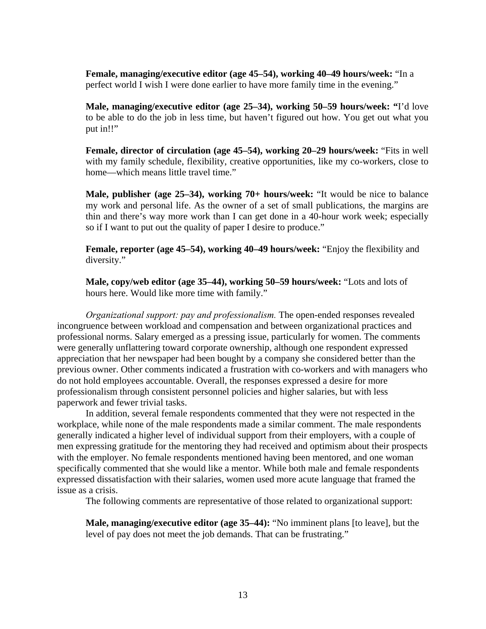**Female, managing/executive editor (age 45–54), working 40–49 hours/week:** "In a perfect world I wish I were done earlier to have more family time in the evening."

**Male, managing/executive editor (age 25–34), working 50–59 hours/week: "**I'd love to be able to do the job in less time, but haven't figured out how. You get out what you put in!!"

**Female, director of circulation (age 45–54), working 20–29 hours/week:** "Fits in well with my family schedule, flexibility, creative opportunities, like my co-workers, close to home—which means little travel time."

**Male, publisher (age 25–34), working 70+ hours/week:** "It would be nice to balance my work and personal life. As the owner of a set of small publications, the margins are thin and there's way more work than I can get done in a 40-hour work week; especially so if I want to put out the quality of paper I desire to produce."

**Female, reporter (age 45–54), working 40–49 hours/week:** "Enjoy the flexibility and diversity."

**Male, copy/web editor (age 35–44), working 50–59 hours/week:** "Lots and lots of hours here. Would like more time with family."

*Organizational support: pay and professionalism.* The open-ended responses revealed incongruence between workload and compensation and between organizational practices and professional norms. Salary emerged as a pressing issue, particularly for women. The comments were generally unflattering toward corporate ownership, although one respondent expressed appreciation that her newspaper had been bought by a company she considered better than the previous owner. Other comments indicated a frustration with co-workers and with managers who do not hold employees accountable. Overall, the responses expressed a desire for more professionalism through consistent personnel policies and higher salaries, but with less paperwork and fewer trivial tasks.

In addition, several female respondents commented that they were not respected in the workplace, while none of the male respondents made a similar comment. The male respondents generally indicated a higher level of individual support from their employers, with a couple of men expressing gratitude for the mentoring they had received and optimism about their prospects with the employer. No female respondents mentioned having been mentored, and one woman specifically commented that she would like a mentor. While both male and female respondents expressed dissatisfaction with their salaries, women used more acute language that framed the issue as a crisis.

The following comments are representative of those related to organizational support:

**Male, managing/executive editor (age 35–44):** "No imminent plans [to leave], but the level of pay does not meet the job demands. That can be frustrating."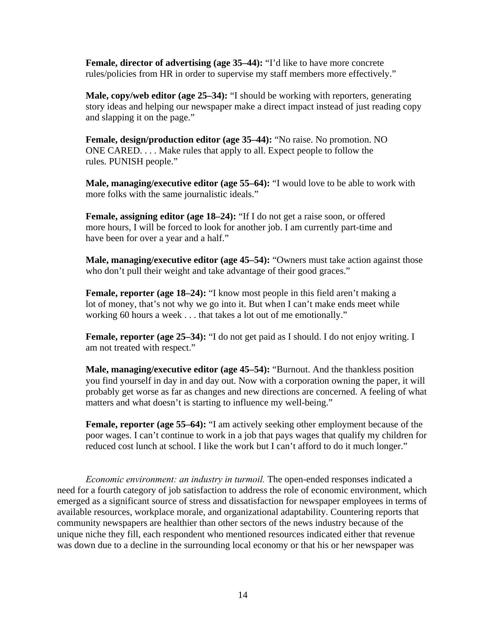**Female, director of advertising (age 35–44):** "I'd like to have more concrete rules/policies from HR in order to supervise my staff members more effectively."

**Male, copy/web editor (age 25–34):** "I should be working with reporters, generating story ideas and helping our newspaper make a direct impact instead of just reading copy and slapping it on the page."

**Female, design/production editor (age 35–44):** "No raise. No promotion. NO ONE CARED. . . . Make rules that apply to all. Expect people to follow the rules. PUNISH people."

**Male, managing/executive editor (age 55–64):** "I would love to be able to work with more folks with the same journalistic ideals."

**Female, assigning editor (age 18–24):** "If I do not get a raise soon, or offered more hours, I will be forced to look for another job. I am currently part-time and have been for over a year and a half."

**Male, managing/executive editor (age 45–54):** "Owners must take action against those who don't pull their weight and take advantage of their good graces."

**Female, reporter (age 18–24):** "I know most people in this field aren't making a lot of money, that's not why we go into it. But when I can't make ends meet while working 60 hours a week . . . that takes a lot out of me emotionally."

**Female, reporter (age 25–34):** "I do not get paid as I should. I do not enjoy writing. I am not treated with respect."

**Male, managing/executive editor (age 45–54):** "Burnout. And the thankless position you find yourself in day in and day out. Now with a corporation owning the paper, it will probably get worse as far as changes and new directions are concerned. A feeling of what matters and what doesn't is starting to influence my well-being."

**Female, reporter (age 55–64):** "I am actively seeking other employment because of the poor wages. I can't continue to work in a job that pays wages that qualify my children for reduced cost lunch at school. I like the work but I can't afford to do it much longer."

*Economic environment: an industry in turmoil.* The open-ended responses indicated a need for a fourth category of job satisfaction to address the role of economic environment, which emerged as a significant source of stress and dissatisfaction for newspaper employees in terms of available resources, workplace morale, and organizational adaptability. Countering reports that community newspapers are healthier than other sectors of the news industry because of the unique niche they fill, each respondent who mentioned resources indicated either that revenue was down due to a decline in the surrounding local economy or that his or her newspaper was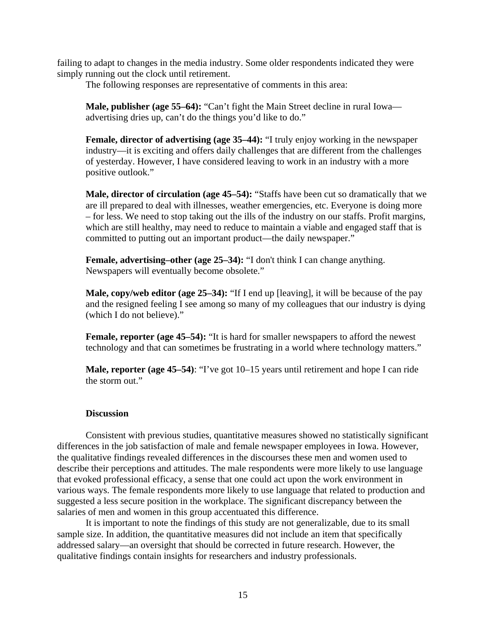failing to adapt to changes in the media industry. Some older respondents indicated they were simply running out the clock until retirement.

The following responses are representative of comments in this area:

**Male, publisher (age 55–64):** "Can't fight the Main Street decline in rural Iowa advertising dries up, can't do the things you'd like to do."

**Female, director of advertising (age 35–44):** "I truly enjoy working in the newspaper industry—it is exciting and offers daily challenges that are different from the challenges of yesterday. However, I have considered leaving to work in an industry with a more positive outlook."

**Male, director of circulation (age 45–54):** "Staffs have been cut so dramatically that we are ill prepared to deal with illnesses, weather emergencies, etc. Everyone is doing more – for less. We need to stop taking out the ills of the industry on our staffs. Profit margins, which are still healthy, may need to reduce to maintain a viable and engaged staff that is committed to putting out an important product—the daily newspaper."

**Female, advertising–other (age 25–34):** "I don't think I can change anything. Newspapers will eventually become obsolete."

**Male, copy/web editor (age 25–34):** "If I end up [leaving], it will be because of the pay and the resigned feeling I see among so many of my colleagues that our industry is dying (which I do not believe)."

**Female, reporter (age 45–54):** "It is hard for smaller newspapers to afford the newest technology and that can sometimes be frustrating in a world where technology matters."

**Male, reporter (age 45–54)**: "I've got 10–15 years until retirement and hope I can ride the storm out."

#### **Discussion**

Consistent with previous studies, quantitative measures showed no statistically significant differences in the job satisfaction of male and female newspaper employees in Iowa. However, the qualitative findings revealed differences in the discourses these men and women used to describe their perceptions and attitudes. The male respondents were more likely to use language that evoked professional efficacy, a sense that one could act upon the work environment in various ways. The female respondents more likely to use language that related to production and suggested a less secure position in the workplace. The significant discrepancy between the salaries of men and women in this group accentuated this difference.

It is important to note the findings of this study are not generalizable, due to its small sample size. In addition, the quantitative measures did not include an item that specifically addressed salary—an oversight that should be corrected in future research. However, the qualitative findings contain insights for researchers and industry professionals.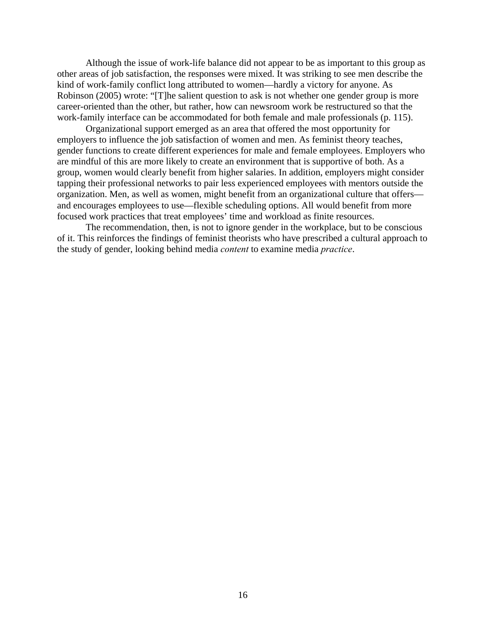Although the issue of work-life balance did not appear to be as important to this group as other areas of job satisfaction, the responses were mixed. It was striking to see men describe the kind of work-family conflict long attributed to women—hardly a victory for anyone. As Robinson (2005) wrote: "[T]he salient question to ask is not whether one gender group is more career-oriented than the other, but rather, how can newsroom work be restructured so that the work-family interface can be accommodated for both female and male professionals (p. 115).

Organizational support emerged as an area that offered the most opportunity for employers to influence the job satisfaction of women and men. As feminist theory teaches, gender functions to create different experiences for male and female employees. Employers who are mindful of this are more likely to create an environment that is supportive of both. As a group, women would clearly benefit from higher salaries. In addition, employers might consider tapping their professional networks to pair less experienced employees with mentors outside the organization. Men, as well as women, might benefit from an organizational culture that offers and encourages employees to use—flexible scheduling options. All would benefit from more focused work practices that treat employees' time and workload as finite resources.

The recommendation, then, is not to ignore gender in the workplace, but to be conscious of it. This reinforces the findings of feminist theorists who have prescribed a cultural approach to the study of gender, looking behind media *content* to examine media *practice*.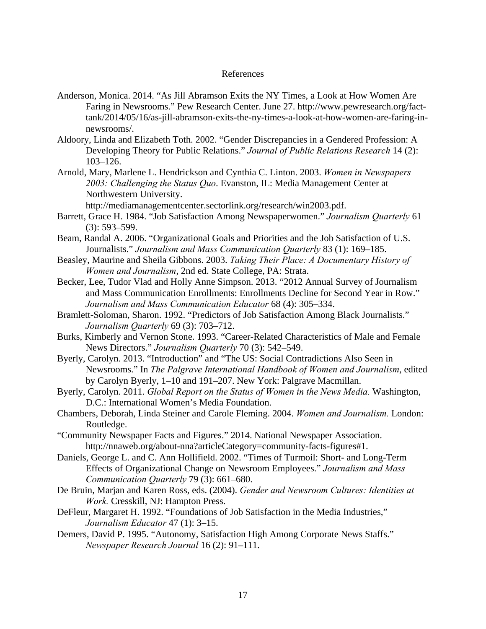# References

- Anderson, Monica. 2014. "As Jill Abramson Exits the NY Times, a Look at How Women Are Faring in Newsrooms." Pew Research Center. June 27. http://www.pewresearch.org/facttank/2014/05/16/as-jill-abramson-exits-the-ny-times-a-look-at-how-women-are-faring-innewsrooms/.
- Aldoory, Linda and Elizabeth Toth. 2002. "Gender Discrepancies in a Gendered Profession: A Developing Theory for Public Relations." *Journal of Public Relations Research* 14 (2): 103–126.
- Arnold, Mary, Marlene L. Hendrickson and Cynthia C. Linton. 2003. *Women in Newspapers 2003: Challenging the Status Quo*. Evanston, IL: Media Management Center at Northwestern University.

http://mediamanagementcenter.sectorlink.org/research/win2003.pdf.

- Barrett, Grace H. 1984. "Job Satisfaction Among Newspaperwomen." *Journalism Quarterly* 61 (3): 593–599.
- Beam, Randal A. 2006. "Organizational Goals and Priorities and the Job Satisfaction of U.S. Journalists." *Journalism and Mass Communication Quarterly* 83 (1): 169–185.
- Beasley, Maurine and Sheila Gibbons. 2003. *Taking Their Place: A Documentary History of Women and Journalism*, 2nd ed. State College, PA: Strata.
- Becker, Lee, Tudor Vlad and Holly Anne Simpson. 2013. "2012 Annual Survey of Journalism and Mass Communication Enrollments: Enrollments Decline for Second Year in Row." *Journalism and Mass Communication Educator* 68 (4): 305–334.
- Bramlett-Soloman, Sharon. 1992. "Predictors of Job Satisfaction Among Black Journalists." *Journalism Quarterly* 69 (3): 703–712.
- Burks, Kimberly and Vernon Stone. 1993. "Career-Related Characteristics of Male and Female News Directors." *Journalism Quarterly* 70 (3): 542–549.
- Byerly, Carolyn. 2013. "Introduction" and "The US: Social Contradictions Also Seen in Newsrooms." In *The Palgrave International Handbook of Women and Journalism*, edited by Carolyn Byerly, 1–10 and 191–207. New York: Palgrave Macmillan.
- Byerly, Carolyn. 2011. *Global Report on the Status of Women in the News Media.* Washington, D.C.: International Women's Media Foundation.
- Chambers, Deborah, Linda Steiner and Carole Fleming. 2004. *Women and Journalism.* London: Routledge.
- "Community Newspaper Facts and Figures." 2014. National Newspaper Association. http://nnaweb.org/about-nna?articleCategory=community-facts-figures#1.
- Daniels, George L. and C. Ann Hollifield. 2002. "Times of Turmoil: Short- and Long-Term Effects of Organizational Change on Newsroom Employees." *Journalism and Mass Communication Quarterly* 79 (3): 661–680.
- De Bruin, Marjan and Karen Ross, eds. (2004). *Gender and Newsroom Cultures: Identities at Work.* Cresskill, NJ: Hampton Press.
- DeFleur, Margaret H. 1992. "Foundations of Job Satisfaction in the Media Industries," *Journalism Educator* 47 (1): 3–15.
- Demers, David P. 1995. "Autonomy, Satisfaction High Among Corporate News Staffs." *Newspaper Research Journal* 16 (2): 91–111.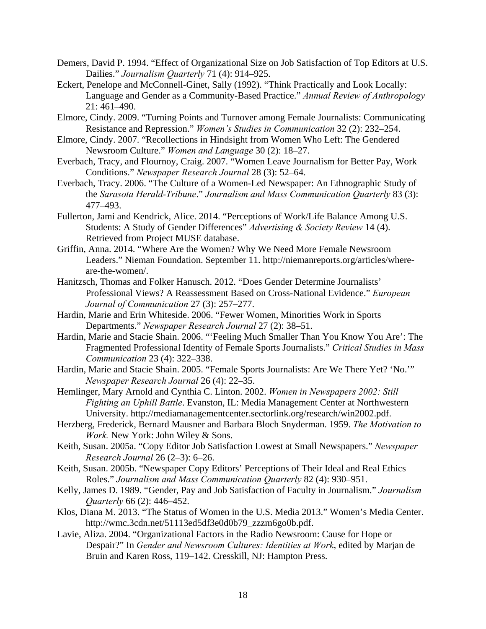- Demers, David P. 1994. "Effect of Organizational Size on Job Satisfaction of Top Editors at U.S. Dailies." *Journalism Quarterly* 71 (4): 914–925.
- Eckert, Penelope and McConnell-Ginet, Sally (1992). "Think Practically and Look Locally: Language and Gender as a Community-Based Practice." *Annual Review of Anthropology*  21: 461–490.
- Elmore, Cindy. 2009. "Turning Points and Turnover among Female Journalists: Communicating Resistance and Repression." *Women's Studies in Communication* 32 (2): 232–254.
- Elmore, Cindy. 2007. "Recollections in Hindsight from Women Who Left: The Gendered Newsroom Culture." *Women and Language* 30 (2): 18–27.
- Everbach, Tracy, and Flournoy, Craig. 2007. "Women Leave Journalism for Better Pay, Work Conditions." *Newspaper Research Journal* 28 (3): 52–64.
- Everbach, Tracy. 2006. "The Culture of a Women-Led Newspaper: An Ethnographic Study of the *Sarasota Herald-Tribune*." *Journalism and Mass Communication Quarterly* 83 (3): 477–493.
- Fullerton, Jami and Kendrick, Alice. 2014. "Perceptions of Work/Life Balance Among U.S. Students: A Study of Gender Differences" *Advertising & Society Review* 14 (4). Retrieved from Project MUSE database.
- Griffin, Anna. 2014. "Where Are the Women? Why We Need More Female Newsroom Leaders." Nieman Foundation. September 11. http://niemanreports.org/articles/whereare-the-women/.
- Hanitzsch, Thomas and Folker Hanusch. 2012. "Does Gender Determine Journalists' Professional Views? A Reassessment Based on Cross-National Evidence." *European Journal of Communication* 27 (3): 257–277.
- Hardin, Marie and Erin Whiteside. 2006. "Fewer Women, Minorities Work in Sports Departments." *Newspaper Research Journal* 27 (2): 38–51.
- Hardin, Marie and Stacie Shain. 2006. "'Feeling Much Smaller Than You Know You Are': The Fragmented Professional Identity of Female Sports Journalists." *Critical Studies in Mass Communication* 23 (4): 322–338.
- Hardin, Marie and Stacie Shain. 2005. "Female Sports Journalists: Are We There Yet? 'No.'" *Newspaper Research Journal* 26 (4): 22–35.
- Hemlinger, Mary Arnold and Cynthia C. Linton. 2002. *Women in Newspapers 2002: Still Fighting an Uphill Battle*. Evanston, IL: Media Management Center at Northwestern University. http://mediamanagementcenter.sectorlink.org/research/win2002.pdf.
- Herzberg, Frederick, Bernard Mausner and Barbara Bloch Snyderman. 1959. *The Motivation to Work.* New York: John Wiley & Sons.
- Keith, Susan. 2005a. "Copy Editor Job Satisfaction Lowest at Small Newspapers." *Newspaper Research Journal* 26 (2–3): 6–26.
- Keith, Susan. 2005b. "Newspaper Copy Editors' Perceptions of Their Ideal and Real Ethics Roles." *Journalism and Mass Communication Quarterly* 82 (4): 930–951.
- Kelly, James D. 1989. "Gender, Pay and Job Satisfaction of Faculty in Journalism." *Journalism Quarterly* 66 (2): 446–452.
- Klos, Diana M. 2013. "The Status of Women in the U.S. Media 2013." Women's Media Center. http://wmc.3cdn.net/51113ed5df3e0d0b79\_zzzm6go0b.pdf.
- Lavie, Aliza. 2004. "Organizational Factors in the Radio Newsroom: Cause for Hope or Despair?" In *Gender and Newsroom Cultures: Identities at Work*, edited by Marjan de Bruin and Karen Ross, 119–142. Cresskill, NJ: Hampton Press.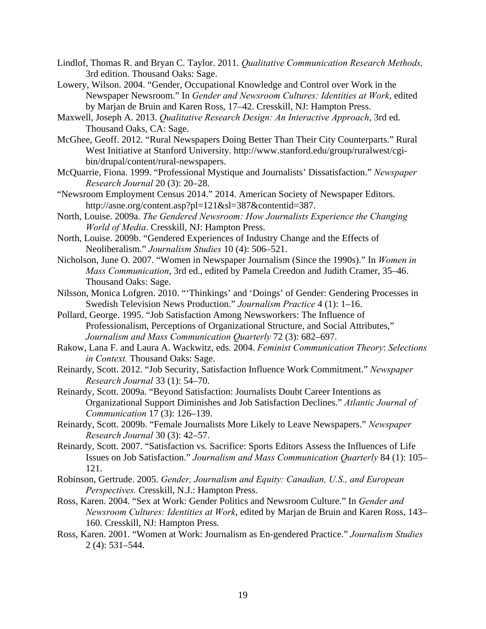- Lindlof, Thomas R. and Bryan C. Taylor. 2011. *Qualitative Communication Research Methods,* 3rd edition. Thousand Oaks: Sage.
- Lowery, Wilson. 2004. "Gender, Occupational Knowledge and Control over Work in the Newspaper Newsroom." In *Gender and Newsroom Cultures: Identities at Work*, edited by Marjan de Bruin and Karen Ross, 17–42. Cresskill, NJ: Hampton Press.
- Maxwell, Joseph A. 2013. *Qualitative Research Design: An Interactive Approach*, 3rd ed. Thousand Oaks, CA: Sage.
- McGhee, Geoff. 2012. "Rural Newspapers Doing Better Than Their City Counterparts." Rural West Initiative at Stanford University. http://www.stanford.edu/group/ruralwest/cgibin/drupal/content/rural-newspapers.
- McQuarrie, Fiona. 1999. "Professional Mystique and Journalists' Dissatisfaction." *Newspaper Research Journal* 20 (3): 20–28.
- "Newsroom Employment Census 2014." 2014. American Society of Newspaper Editors. http://asne.org/content.asp?pl=121&sl=387&contentid=387.
- North, Louise. 2009a. *The Gendered Newsroom: How Journalists Experience the Changing World of Media*. Cresskill, NJ: Hampton Press.
- North, Louise. 2009b. "Gendered Experiences of Industry Change and the Effects of Neoliberalism." *Journalism Studies* 10 (4): 506–521.
- Nicholson, June O. 2007. "Women in Newspaper Journalism (Since the 1990s)." In *Women in Mass Communication*, 3rd ed., edited by Pamela Creedon and Judith Cramer, 35–46. Thousand Oaks: Sage.
- Nilsson, Monica Lofgren. 2010. "'Thinkings' and 'Doings' of Gender: Gendering Processes in Swedish Television News Production." *Journalism Practice* 4 (1): 1–16.
- Pollard, George. 1995. "Job Satisfaction Among Newsworkers: The Influence of Professionalism, Perceptions of Organizational Structure, and Social Attributes," *Journalism and Mass Communication Quarterly* 72 (3): 682–697.
- Rakow, Lana F. and Laura A. Wackwitz, eds. 2004. *Feminist Communication Theory*: *Selections in Context.* Thousand Oaks: Sage.
- Reinardy, Scott. 2012. "Job Security, Satisfaction Influence Work Commitment." *Newspaper Research Journal* 33 (1): 54–70.
- Reinardy, Scott. 2009a. "Beyond Satisfaction: Journalists Doubt Career Intentions as Organizational Support Diminishes and Job Satisfaction Declines." *Atlantic Journal of Communication* 17 (3): 126–139.
- Reinardy, Scott. 2009b. "Female Journalists More Likely to Leave Newspapers." *Newspaper Research Journal* 30 (3): 42–57.
- Reinardy, Scott. 2007. "Satisfaction vs. Sacrifice: Sports Editors Assess the Influences of Life Issues on Job Satisfaction." *Journalism and Mass Communication Quarterly* 84 (1): 105– 121.
- Robinson, Gertrude. 2005. *Gender, Journalism and Equity: Canadian, U.S., and European Perspectives.* Cresskill, N.J.: Hampton Press.
- Ross, Karen. 2004. "Sex at Work: Gender Politics and Newsroom Culture." In *Gender and Newsroom Cultures: Identities at Work*, edited by Marjan de Bruin and Karen Ross, 143– 160. Cresskill, NJ: Hampton Press.
- Ross, Karen. 2001. "Women at Work: Journalism as En-gendered Practice." *Journalism Studies* 2 (4): 531–544.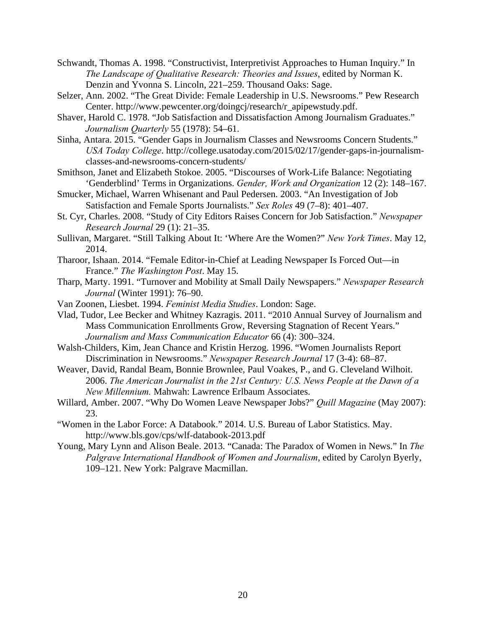- Schwandt, Thomas A. 1998. "Constructivist, Interpretivist Approaches to Human Inquiry." In *The Landscape of Qualitative Research: Theories and Issues*, edited by Norman K. Denzin and Yvonna S. Lincoln, 221–259. Thousand Oaks: Sage.
- Selzer, Ann. 2002. "The Great Divide: Female Leadership in U.S. Newsrooms." Pew Research Center. http://www.pewcenter.org/doingcj/research/r\_apipewstudy.pdf.
- Shaver, Harold C. 1978. "Job Satisfaction and Dissatisfaction Among Journalism Graduates." *Journalism Quarterly* 55 (1978): 54–61.
- Sinha, Antara. 2015. "Gender Gaps in Journalism Classes and Newsrooms Concern Students." *USA Today College*. http://college.usatoday.com/2015/02/17/gender-gaps-in-journalismclasses-and-newsrooms-concern-students/
- Smithson, Janet and Elizabeth Stokoe. 2005. "Discourses of Work-Life Balance: Negotiating 'Genderblind' Terms in Organizations. *Gender, Work and Organization* 12 (2): 148–167.
- Smucker, Michael, Warren Whisenant and Paul Pedersen. 2003. "An Investigation of Job Satisfaction and Female Sports Journalists." *Sex Roles* 49 (7–8): 401–407.
- St. Cyr, Charles. 2008. "Study of City Editors Raises Concern for Job Satisfaction." *Newspaper Research Journal* 29 (1): 21–35.
- Sullivan, Margaret. "Still Talking About It: 'Where Are the Women?" *New York Times*. May 12, 2014.
- Tharoor, Ishaan. 2014. "Female Editor-in-Chief at Leading Newspaper Is Forced Out—in France." *The Washington Post*. May 15.
- Tharp, Marty. 1991. "Turnover and Mobility at Small Daily Newspapers." *Newspaper Research Journal* (Winter 1991): 76–90.
- Van Zoonen, Liesbet. 1994. *Feminist Media Studies*. London: Sage.
- Vlad, Tudor, Lee Becker and Whitney Kazragis. 2011. "2010 Annual Survey of Journalism and Mass Communication Enrollments Grow, Reversing Stagnation of Recent Years." *Journalism and Mass Communication Educator* 66 (4): 300–324.
- Walsh-Childers, Kim, Jean Chance and Kristin Herzog. 1996. "Women Journalists Report Discrimination in Newsrooms." *Newspaper Research Journal* 17 (3-4): 68–87.
- Weaver, David, Randal Beam, Bonnie Brownlee, Paul Voakes, P., and G. Cleveland Wilhoit. 2006. *The American Journalist in the 21st Century: U.S. News People at the Dawn of a New Millennium.* Mahwah: Lawrence Erlbaum Associates.
- Willard, Amber. 2007. "Why Do Women Leave Newspaper Jobs?" *Quill Magazine* (May 2007): 23.
- "Women in the Labor Force: A Databook." 2014. U.S. Bureau of Labor Statistics. May. http://www.bls.gov/cps/wlf-databook-2013.pdf
- Young, Mary Lynn and Alison Beale. 2013. "Canada: The Paradox of Women in News." In *The Palgrave International Handbook of Women and Journalism*, edited by Carolyn Byerly, 109–121. New York: Palgrave Macmillan.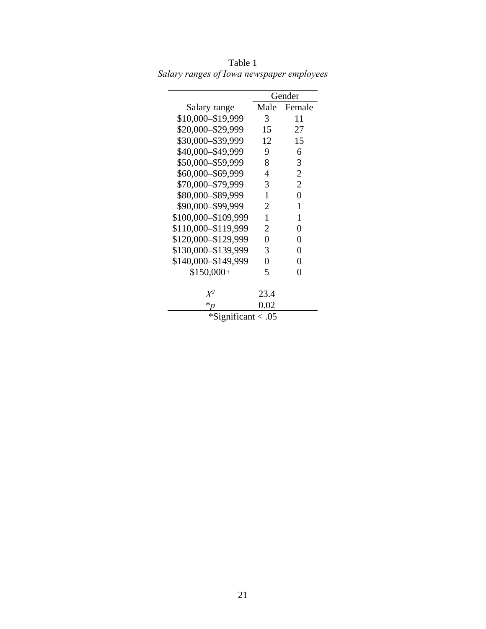|                             | Gender         |                |
|-----------------------------|----------------|----------------|
| Salary range                | Male           | Female         |
| \$10,000-\$19,999           | 3              | 11             |
| \$20,000-\$29,999           | 15             | 27             |
| \$30,000-\$39,999           | 12             | 15             |
| \$40,000-\$49,999           | 9              | 6              |
| \$50,000-\$59,999           | 8              | 3              |
| \$60,000-\$69,999           | 4              | $\overline{2}$ |
| \$70,000-\$79,999           | 3              | $\overline{2}$ |
| \$80,000-\$89,999           | 1              | $\overline{0}$ |
| \$90,000-\$99,999           | 2              | 1              |
| \$100,000-\$109,999         | $\mathbf{1}$   | 1              |
| \$110,000-\$119,999         | 2              | 0              |
| \$120,000-\$129,999         | $\overline{0}$ | 0              |
| \$130,000-\$139,999         | 3              | 0              |
| \$140,000-\$149,999         | 0              | 0              |
| $$150,000+$                 | 5              | ∩              |
| $X^2$                       | 23.4           |                |
| $*_p$                       | $\rm 0.02$     |                |
| $\text{*Significant} < .05$ |                |                |

Table 1 *Salary ranges of Iowa newspaper employees*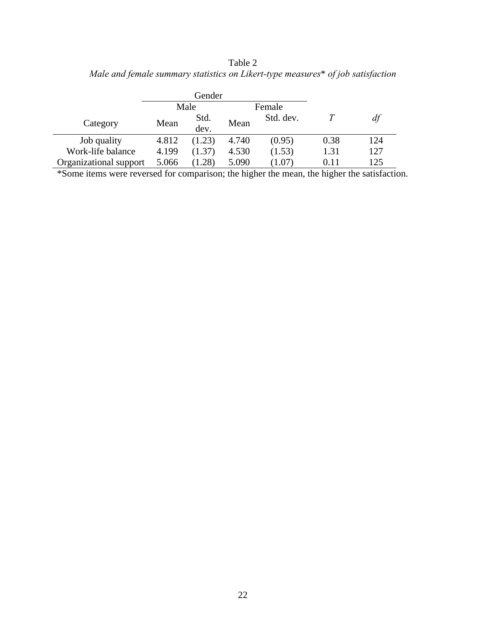Table 2 *Male and female summary statistics on Likert-type measures*\* *of job satisfaction* 

|                        | Gender |        |        |           |      |     |
|------------------------|--------|--------|--------|-----------|------|-----|
|                        | Male   |        | Female |           |      |     |
|                        | Mean   | Std.   | Mean   | Std. dev. |      | df  |
| Category               |        | dev.   |        |           |      |     |
| Job quality            | 4.812  | (1.23) | 4.740  | (0.95)    | 0.38 | 124 |
| Work-life balance      | 4.199  | (1.37) | 4.530  | (1.53)    | 1.31 | 127 |
| Organizational support | 5.066  | (1.28) | 5.090  | (1.07)    | 0.11 | 125 |

\*Some items were reversed for comparison; the higher the mean, the higher the satisfaction.